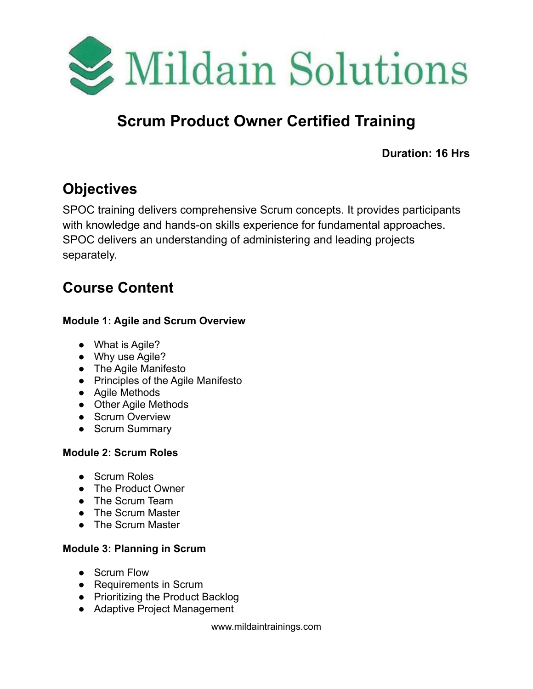

# **Scrum Product Owner Certified Training**

**Duration: 16 Hrs**

## **Objectives**

SPOC training delivers comprehensive Scrum concepts. It provides participants with knowledge and hands-on skills experience for fundamental approaches. SPOC delivers an understanding of administering and leading projects separately.

## **Course Content**

#### **Module 1: Agile and Scrum Overview**

- What is Agile?
- Why use Agile?
- The Agile Manifesto
- Principles of the Agile Manifesto
- Agile Methods
- Other Agile Methods
- Scrum Overview
- Scrum Summary

### **Module 2: Scrum Roles**

- Scrum Roles
- The Product Owner
- The Scrum Team
- The Scrum Master
- The Scrum Master

### **Module 3: Planning in Scrum**

- Scrum Flow
- Requirements in Scrum
- Prioritizing the Product Backlog
- Adaptive Project Management

www.mildaintrainings.com